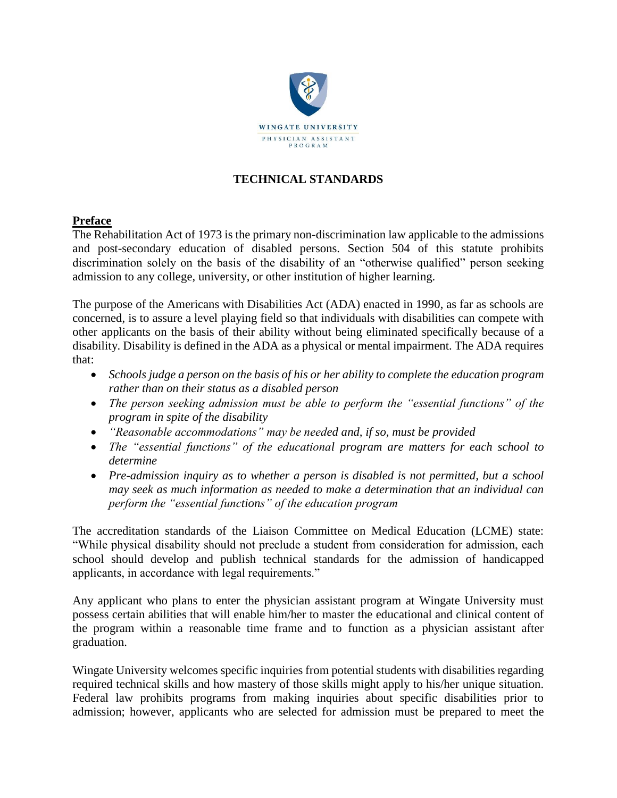

# **TECHNICAL STANDARDS**

## **Preface**

The Rehabilitation Act of 1973 is the primary non-discrimination law applicable to the admissions and post-secondary education of disabled persons. Section 504 of this statute prohibits discrimination solely on the basis of the disability of an "otherwise qualified" person seeking admission to any college, university, or other institution of higher learning.

The purpose of the Americans with Disabilities Act (ADA) enacted in 1990, as far as schools are concerned, is to assure a level playing field so that individuals with disabilities can compete with other applicants on the basis of their ability without being eliminated specifically because of a disability. Disability is defined in the ADA as a physical or mental impairment. The ADA requires that:

- *Schools judge a person on the basis of his or her ability to complete the education program rather than on their status as a disabled person*
- *The person seeking admission must be able to perform the "essential functions" of the program in spite of the disability*
- *"Reasonable accommodations" may be needed and, if so, must be provided*
- *The "essential functions" of the educational program are matters for each school to determine*
- *Pre-admission inquiry as to whether a person is disabled is not permitted, but a school may seek as much information as needed to make a determination that an individual can perform the "essential functions" of the education program*

The accreditation standards of the Liaison Committee on Medical Education (LCME) state: "While physical disability should not preclude a student from consideration for admission, each school should develop and publish technical standards for the admission of handicapped applicants, in accordance with legal requirements."

Any applicant who plans to enter the physician assistant program at Wingate University must possess certain abilities that will enable him/her to master the educational and clinical content of the program within a reasonable time frame and to function as a physician assistant after graduation.

Wingate University welcomes specific inquiries from potential students with disabilities regarding required technical skills and how mastery of those skills might apply to his/her unique situation. Federal law prohibits programs from making inquiries about specific disabilities prior to admission; however, applicants who are selected for admission must be prepared to meet the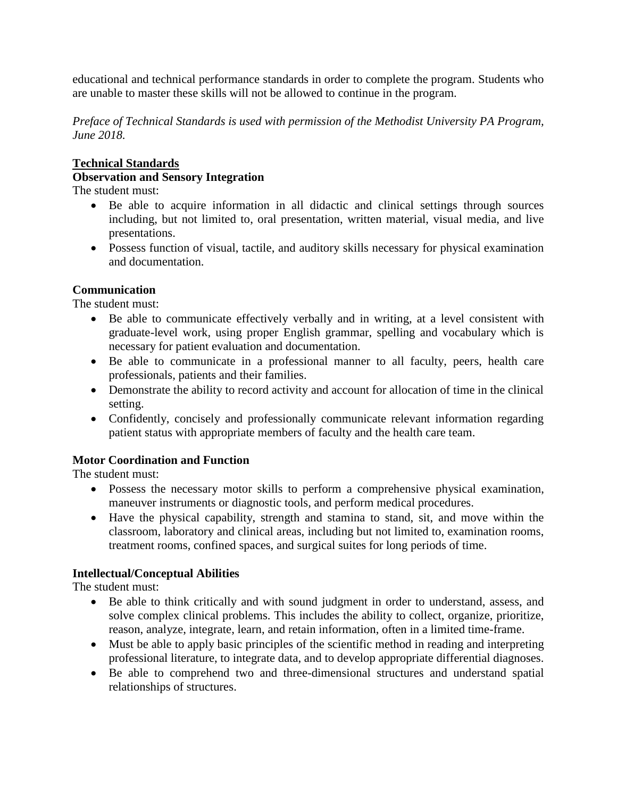educational and technical performance standards in order to complete the program. Students who are unable to master these skills will not be allowed to continue in the program.

*Preface of Technical Standards is used with permission of the Methodist University PA Program, June 2018.*

### **Technical Standards**

# **Observation and Sensory Integration**

The student must:

- Be able to acquire information in all didactic and clinical settings through sources including, but not limited to, oral presentation, written material, visual media, and live presentations.
- Possess function of visual, tactile, and auditory skills necessary for physical examination and documentation.

### **Communication**

The student must:

- Be able to communicate effectively verbally and in writing, at a level consistent with graduate-level work, using proper English grammar, spelling and vocabulary which is necessary for patient evaluation and documentation.
- Be able to communicate in a professional manner to all faculty, peers, health care professionals, patients and their families.
- Demonstrate the ability to record activity and account for allocation of time in the clinical setting.
- Confidently, concisely and professionally communicate relevant information regarding patient status with appropriate members of faculty and the health care team.

## **Motor Coordination and Function**

The student must:

- Possess the necessary motor skills to perform a comprehensive physical examination, maneuver instruments or diagnostic tools, and perform medical procedures.
- Have the physical capability, strength and stamina to stand, sit, and move within the classroom, laboratory and clinical areas, including but not limited to, examination rooms, treatment rooms, confined spaces, and surgical suites for long periods of time.

## **Intellectual/Conceptual Abilities**

The student must:

- Be able to think critically and with sound judgment in order to understand, assess, and solve complex clinical problems. This includes the ability to collect, organize, prioritize, reason, analyze, integrate, learn, and retain information, often in a limited time-frame.
- Must be able to apply basic principles of the scientific method in reading and interpreting professional literature, to integrate data, and to develop appropriate differential diagnoses.
- Be able to comprehend two and three-dimensional structures and understand spatial relationships of structures.